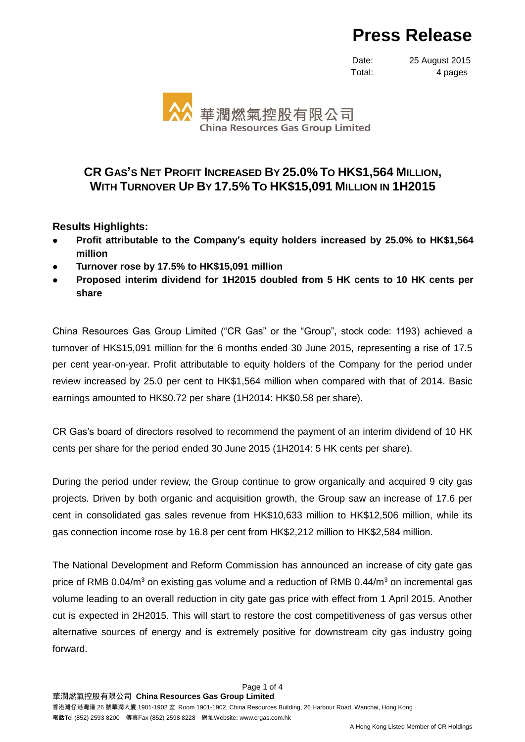# **Press Release**

Date: 25 August 2015 Total: 4 pages



## **CR GAS'S NET PROFIT INCREASED BY 25.0% TO HK\$1,564 MILLION, WITH TURNOVER UP BY 17.5% TO HK\$15,091 MILLION IN 1H2015**

### **Results Highlights:**

- **Profit attributable to the Company's equity holders increased by 25.0% to HK\$1,564 million**
- **Turnover rose by 17.5% to HK\$15,091 million**
- **Proposed interim dividend for 1H2015 doubled from 5 HK cents to 10 HK cents per share**

China Resources Gas Group Limited ("CR Gas" or the "Group", stock code: 1193) achieved a turnover of HK\$15,091 million for the 6 months ended 30 June 2015, representing a rise of 17.5 per cent year-on-year. Profit attributable to equity holders of the Company for the period under review increased by 25.0 per cent to HK\$1,564 million when compared with that of 2014. Basic earnings amounted to HK\$0.72 per share (1H2014: HK\$0.58 per share).

CR Gas's board of directors resolved to recommend the payment of an interim dividend of 10 HK cents per share for the period ended 30 June 2015 (1H2014: 5 HK cents per share).

During the period under review, the Group continue to grow organically and acquired 9 city gas projects. Driven by both organic and acquisition growth, the Group saw an increase of 17.6 per cent in consolidated gas sales revenue from HK\$10,633 million to HK\$12,506 million, while its gas connection income rose by 16.8 per cent from HK\$2,212 million to HK\$2,584 million.

The National Development and Reform Commission has announced an increase of city gate gas price of RMB  $0.04/m<sup>3</sup>$  on existing gas volume and a reduction of RMB  $0.44/m<sup>3</sup>$  on incremental gas volume leading to an overall reduction in city gate gas price with effect from 1 April 2015. Another cut is expected in 2H2015. This will start to restore the cost competitiveness of gas versus other alternative sources of energy and is extremely positive for downstream city gas industry going forward.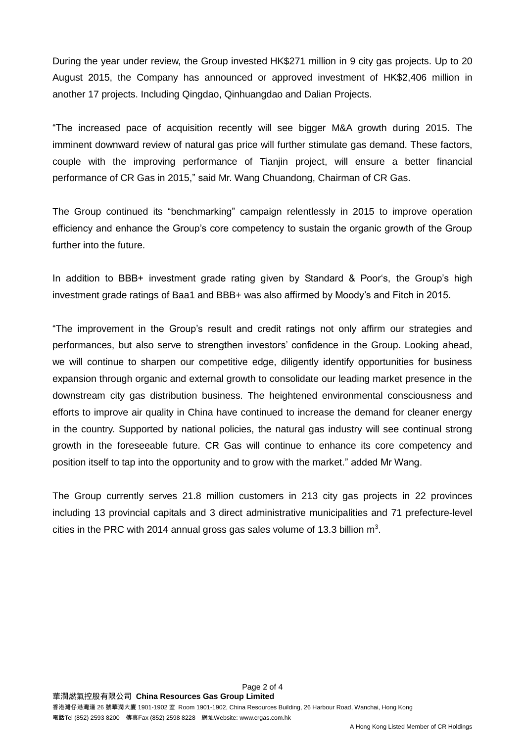During the year under review, the Group invested HK\$271 million in 9 city gas projects. Up to 20 August 2015, the Company has announced or approved investment of HK\$2,406 million in another 17 projects. Including Qingdao, Qinhuangdao and Dalian Projects.

"The increased pace of acquisition recently will see bigger M&A growth during 2015. The imminent downward review of natural gas price will further stimulate gas demand. These factors, couple with the improving performance of Tianjin project, will ensure a better financial performance of CR Gas in 2015," said Mr. Wang Chuandong, Chairman of CR Gas.

The Group continued its "benchmarking" campaign relentlessly in 2015 to improve operation efficiency and enhance the Group's core competency to sustain the organic growth of the Group further into the future.

In addition to BBB+ investment grade rating given by Standard & Poor's, the Group's high investment grade ratings of Baa1 and BBB+ was also affirmed by Moody's and Fitch in 2015.

"The improvement in the Group's result and credit ratings not only affirm our strategies and performances, but also serve to strengthen investors' confidence in the Group. Looking ahead, we will continue to sharpen our competitive edge, diligently identify opportunities for business expansion through organic and external growth to consolidate our leading market presence in the downstream city gas distribution business. The heightened environmental consciousness and efforts to improve air quality in China have continued to increase the demand for cleaner energy in the country. Supported by national policies, the natural gas industry will see continual strong growth in the foreseeable future. CR Gas will continue to enhance its core competency and position itself to tap into the opportunity and to grow with the market." added Mr Wang.

The Group currently serves 21.8 million customers in 213 city gas projects in 22 provinces including 13 provincial capitals and 3 direct administrative municipalities and 71 prefecture-level cities in the PRC with 2014 annual gross gas sales volume of 13.3 billion  $m^3$ .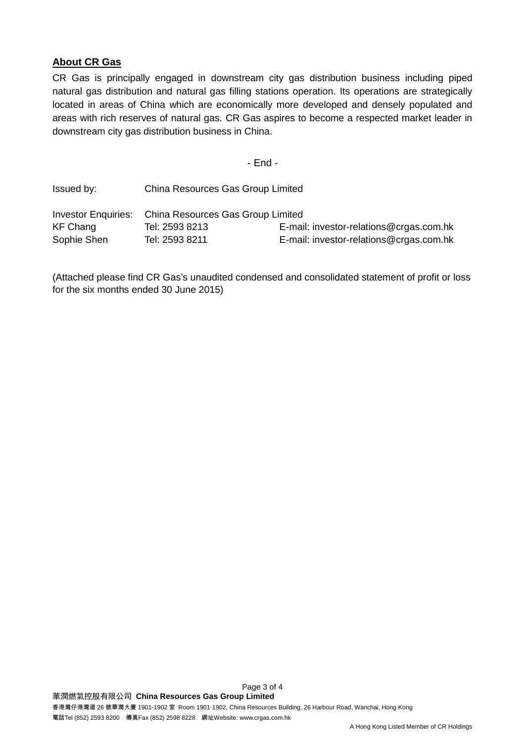#### **About CR Gas**

CR Gas is principally engaged in downstream city gas distribution business including piped natural gas distribution and natural gas filling stations operation. Its operations are strategically located in areas of China which are economically more developed and densely populated and areas with rich reserves of natural gas. CR Gas aspires to become a respected market leader in downstream city gas distribution business in China.

- End -

| Issued by:      | China Resources Gas Group Limited                     |                                         |
|-----------------|-------------------------------------------------------|-----------------------------------------|
|                 | Investor Enquiries: China Resources Gas Group Limited |                                         |
| <b>KF Chang</b> | Tel: 2593 8213                                        | E-mail: investor-relations@crgas.com.hk |
| Sophie Shen     | Tel: 2593 8211                                        | E-mail: investor-relations@crgas.com.hk |

(Attached please find CR Gas's unaudited condensed and consolidated statement of profit or loss for the six months ended 30 June 2015)